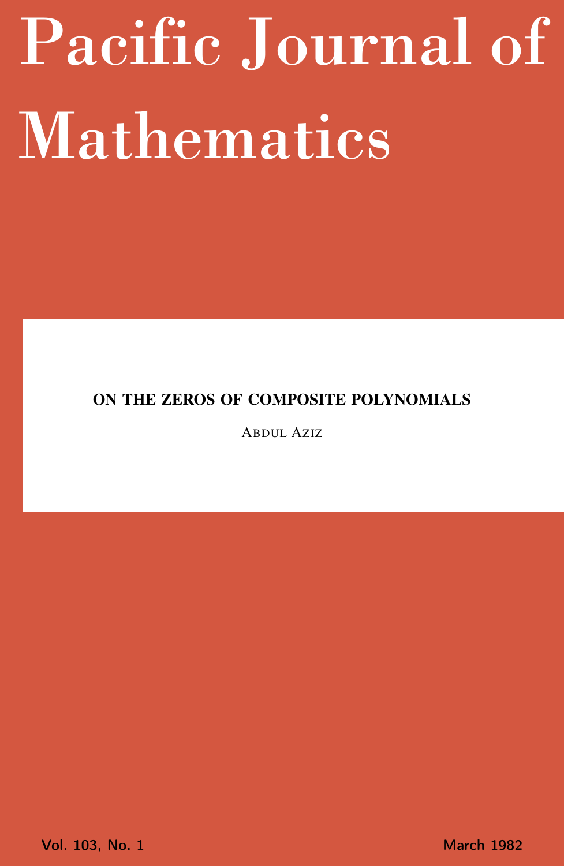# <span id="page-0-0"></span>Pacific Journal of Mathematics

## ON THE ZEROS OF COMPOSITE POLYNOMIALS

ABDUL AZIZ

Vol. 103, No. 1 March 1982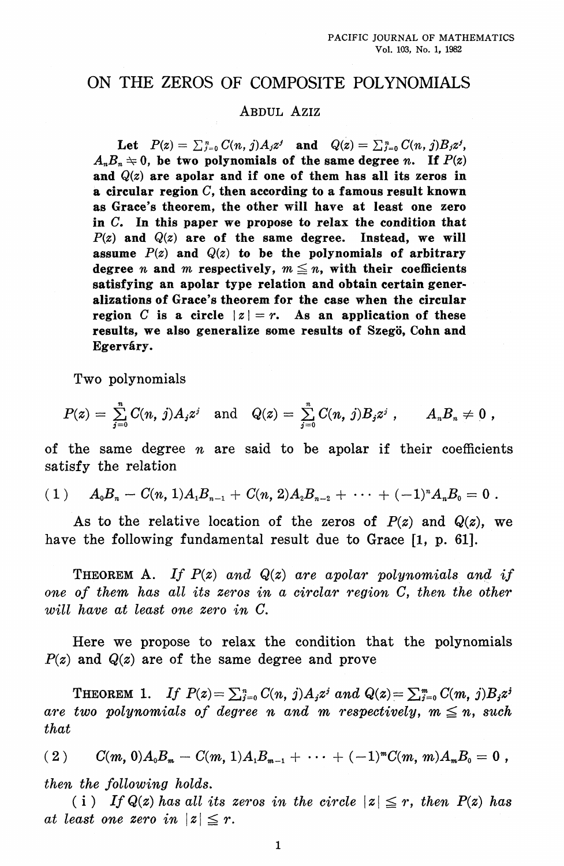## ON THE ZEROS OF COMPOSITE POLYNOMIALS

## ABDUL AZIZ

Let  $P(z) = \sum_{j=0}^{n} C(n, j) A_j z^j$  and  $Q(z) = \sum_{j=0}^{n} C(n, j) B_j z^j$ ,  $A<sub>n</sub>B<sub>n</sub> \div 0$ , be two polynomials of the same degree *n*. If  $P(z)$ and  $Q(z)$  are apolar and if one of them has all its zeros in a circular region  $C$ , then according to a famous result known as Grace's theorem, the other will have at least one zero in  $C$ . In this paper we propose to relax the condition that  $P(z)$  and  $Q(z)$  are of the same degree. Instead, we will assume  $P(z)$  and  $Q(z)$  to be the polynomials of arbitrary degree *n* and *m* respectively,  $m \leq n$ , with their coefficients satisfying an apolar type relation and obtain certain generalizations of Grace's theorem for the case when the circular region C is a circle  $|z|=r$ . As an application of these results, we also generalize some results of Szegö, Cohn and Egerváry.

Two polynomials

$$
P(z) = \sum_{j=0}^n C(n, j) A_j z^j \quad \text{and} \quad Q(z) = \sum_{j=0}^n C(n, j) B_j z^j \; , \qquad A_n B_n \neq 0 \; ,
$$

of the same degree  $n$  are said to be apolar if their coefficients satisfy the relation

$$
(1) \tA_0B_n-C(n,1)A_1B_{n-1}+C(n,2)A_2B_{n-2}+\cdots+(-1)^nA_nB_0=0.
$$

As to the relative location of the zeros of  $P(z)$  and  $Q(z)$ , we have the following fundamental result due to Grace [1, p. 61].

**THEOREM** A. If  $P(z)$  and  $Q(z)$  are apolar polynomials and if one of them has all its zeros in a circlar region C, then the other will have at least one zero in C.

Here we propose to relax the condition that the polynomials  $P(z)$  and  $Q(z)$  are of the same degree and prove

**THEOREM 1.** If  $P(z) = \sum_{i=0}^{n} C(n, j) A_i z^i$  and  $Q(z) = \sum_{i=0}^{n} C(m, j) B_i z^i$ are two polynomials of degree n and m respectively,  $m \leq n$ , such that

 $C(m, 0)A_0B_m - C(m, 1)A_1B_{m-1} + \cdots + (-1)^m C(m, m)A_mB_0 = 0$ ,  $(2)$ then the following holds.

(i) If  $Q(z)$  has all its zeros in the circle  $|z| \leq r$ , then  $P(z)$  has at least one zero in  $|z| \leq r$ .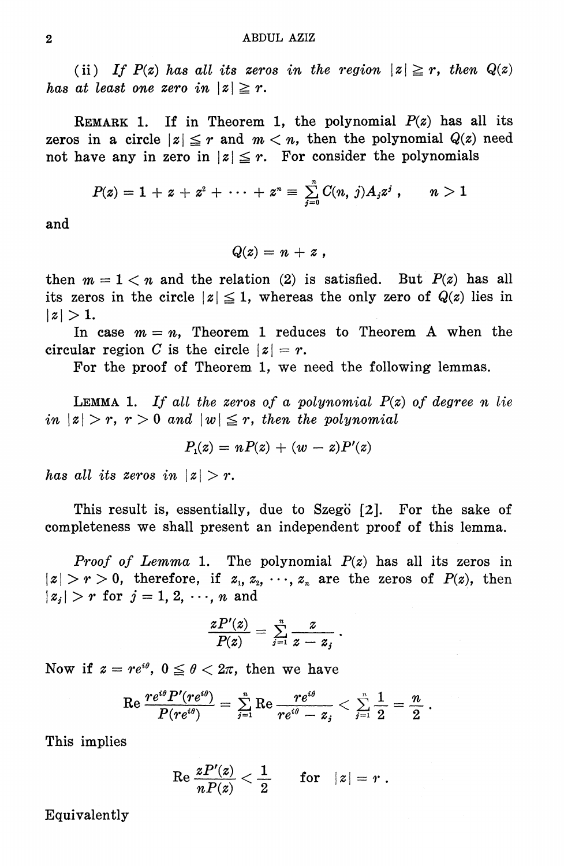(ii) If  $P(z)$  has all its zeros in the region  $|z| \ge r$ , then  $Q(z)$ has at least one zero in  $|z| \geq r$ .

REMARK 1. If in Theorem 1, the polynomial  $P(z)$  has all its zeros in a circle  $|z| \leq r$  and  $m < n$ , then the polynomial  $Q(z)$  need not have any in zero in  $|z| \leq r$ . For consider the polynomials

$$
P(z) = 1 + z + z^{2} + \cdots + z^{n} \equiv \sum_{j=0}^{n} C(n, j) A_{j} z^{j} , \qquad n > 1
$$

and

$$
Q(z)=n+z,
$$

then  $m = 1 < n$  and the relation (2) is satisfied. But  $P(z)$  has all its zeros in the circle  $|z| \leq 1$ , whereas the only zero of  $Q(z)$  lies in  $|z|>1$ .

In case  $m = n$ , Theorem 1 reduces to Theorem A when the circular region C is the circle  $|z|=r$ .

For the proof of Theorem 1, we need the following lemmas.

**LEMMA 1.** If all the zeros of a polynomial  $P(z)$  of degree n lie in  $|z| > r$ ,  $r > 0$  and  $|w| \leq r$ , then the polynomial

$$
P_1(z) = nP(z) + (w - z)P'(z)
$$

has all its zeros in  $|z| > r$ .

This result is, essentially, due to Szegö [2]. For the sake of completeness we shall present an independent proof of this lemma.

*Proof of Lemma* 1. The polynomial  $P(z)$  has all its zeros in  $|z| > r > 0$ , therefore, if  $z_1, z_2, \dots, z_n$  are the zeros of  $P(z)$ , then  $|z_j| > r$  for  $j = 1, 2, \dots, n$  and

$$
\frac{zP'(z)}{P(z)}=\mathop{\textstyle \sum}_{j=1}^n\frac{z}{z-z_j}\,.
$$

Now if  $z = re^{i\theta}$ ,  $0 \le \theta < 2\pi$ , then we have

$$
\text{Re } \frac{r e^{i \theta} P'(r e^{i \theta})}{P(r e^{i \theta})} = \textstyle \sum \limits_{j=1}^{n} \text{Re } \frac{r e^{i \theta}}{r e^{i \theta} - z_{j}} < \textstyle \sum \limits_{j=1}^{n} \frac{1}{2} = \frac{n}{2} \text{ .}
$$

This implies

$$
\text{Re } \frac{zP'(z)}{nP(z)} < \frac{1}{2} \quad \quad \text{for} \quad |z| = r \; .
$$

Equivalently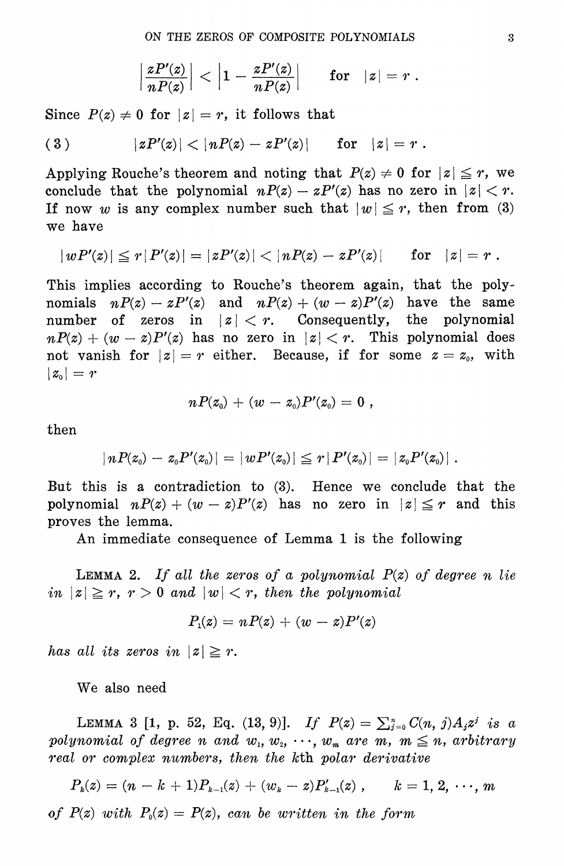$$
\left|\frac{zP'(z)}{nP(z)}\right|<\left|1-\frac{zP'(z)}{nP(z)}\right| \qquad {\text{\rm for}}\quad |z|=r\;.
$$

Since  $P(z) \neq 0$  for  $|z| = r$ , it follows that

(3) 
$$
|zP'(z)| < |nP(z) - zP'(z)|
$$
 for  $|z| = r$ .

Applying Rouche's theorem and noting that  $P(z) \neq 0$  for  $|z| \leq r$ , we conclude that the polynomial  $nP(z) - zP'(z)$  has no zero in  $|z| < r$ . If now w is any complex number such that  $|w| \leq r$ , then from (3) we have

$$
|wP'(z)| \le r |P'(z)| = |zP'(z)| < |nP(z) - zP'(z)| \quad \text{for} \quad |z| = r.
$$

This implies according to Rouche's theorem again, that the polynomials  $nP(z) - zP'(z)$  and  $nP(z) + (w - z)P'(z)$  have the same of zeros in  $|z| < r$ . Consequently, the polynomial number  $nP(z) + (w - z)P'(z)$  has no zero in  $|z| < r$ . This polynomial does not vanish for  $|z|=r$  either. Because, if for some  $z=z_0$ , with  $|z_{0}|=r$ 

$$
nP(z_{\scriptscriptstyle 0})\,+\,(w\,-\,z_{\scriptscriptstyle 0})P'(z_{\scriptscriptstyle 0})=\,0\,\,,
$$

then

$$
|\, n P(z_0) - z_0 P'(z_0) | = |\, w P'(z_0) | \leqq r \, |\, P'(z_0) | = |\, z_0 P'(z_0) |
$$

But this is a contradiction to (3). Hence we conclude that the polynomial  $nP(z) + (w - z)P'(z)$  has no zero in  $|z| \leq r$  and this proves the lemma.

An immediate consequence of Lemma 1 is the following

**LEMMA** 2. If all the zeros of a polynomial  $P(z)$  of degree n lie in  $|z| \ge r$ ,  $r > 0$  and  $|w| < r$ , then the polynomial

$$
P_1(z) = nP(z) + (w - z)P'(z)
$$

has all its zeros in  $|z| \geq r$ .

We also need

LEMMA 3 [1, p. 52, Eq. (13, 9)]. If  $P(z) = \sum_{j=0}^{n} C(n, j) A_j z^j$  is a polynomial of degree n and  $w_1, w_2, \cdots, w_m$  are m,  $m \leq n$ , arbitrary real or complex numbers, then the kth polar derivative

 $P_k(z) = (n - k + 1)P_{k-1}(z) + (w_k - z)P'_{k-1}(z)$ ,  $k = 1, 2, \dots, m$ 

of  $P(z)$  with  $P_0(z) = P(z)$ , can be written in the form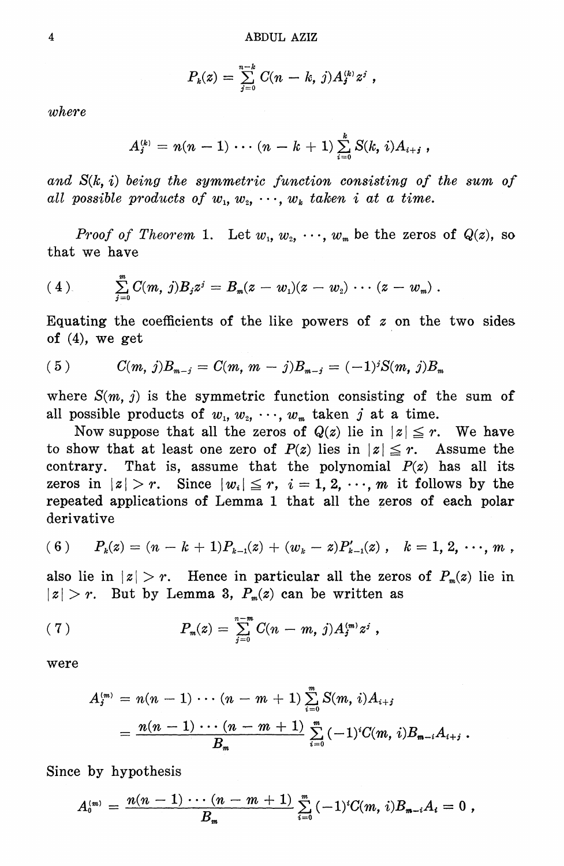$$
P_k(z) = \sum_{j=0}^{n-k} C(n-k, j) A_j^{(k)} z^j,
$$

 $where$ 

$$
A_j^{(k)} = n(n-1)\cdots (n-k+1) \sum_{i=0}^k S(k,i) A_{i+j},
$$

and  $S(k, i)$  being the symmetric function consisting of the sum of all possible products of  $w_1, w_2, \dots, w_k$  taken i at a time.

*Proof of Theorem 1.* Let  $w_1, w_2, \dots, w_m$  be the zeros of  $Q(z)$ , so that we have

$$
(4) \qquad \sum_{j=0}^m C(m, j) B_j z^j = B_m(z-w_1)(z-w_2) \cdots (z-w_m) .
$$

Equating the coefficients of the like powers of  $z$  on the two sides of  $(4)$ , we get

$$
(5) \tC(m, j)B_{m-j} = C(m, m-j)B_{m-j} = (-1)^{j}S(m, j)B_{m}
$$

where  $S(m, j)$  is the symmetric function consisting of the sum of all possible products of  $w_1, w_2, \dots, w_m$  taken j at a time.

Now suppose that all the zeros of  $Q(z)$  lie in  $|z| \leq r$ . We have to show that at least one zero of  $P(z)$  lies in  $|z| \leq r$ . Assume the That is, assume that the polynomial  $P(z)$  has all its contrary. zeros in  $|z| > r$ . Since  $|w_i| \leq r$ ,  $i = 1, 2, \dots, m$  it follows by the repeated applications of Lemma 1 that all the zeros of each polar derivative

(6) 
$$
P_k(z) = (n - k + 1)P_{k-1}(z) + (w_k - z)P'_{k-1}(z)
$$
,  $k = 1, 2, \cdots, m$ ,

also lie in  $|z| > r$ . Hence in particular all the zeros of  $P_m(z)$  lie in  $|z| > r$ . But by Lemma 3,  $P_m(z)$  can be written as

(7) 
$$
P_m(z) = \sum_{j=0}^{n-m} C(n-m, j) A_j^{(m)} z^j,
$$

were

$$
A_j^{(m)} = n(n-1)\cdots (n-m+1) \sum_{i=0}^m S(m, i) A_{i+j}
$$
  
= 
$$
\frac{n(n-1)\cdots (n-m+1)}{B_m} \sum_{i=0}^m (-1)^i C(m, i) B_{m-i} A_{i+j}.
$$

Since by hypothesis

$$
A_0^{(m)} = \frac{n(n-1)\cdots(n-m+1)}{B_m} \sum_{i=0}^m (-1)^i C(m, i) B_{m-i} A_i = 0,
$$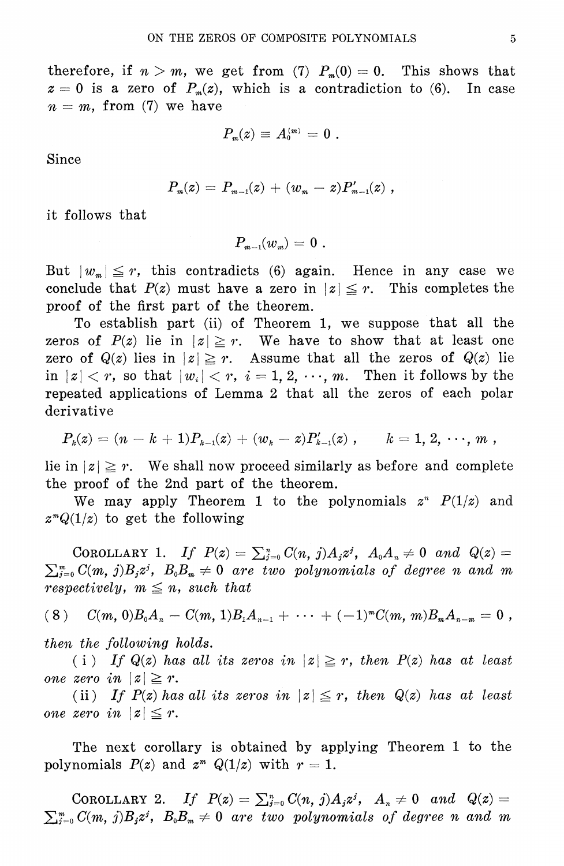therefore, if 
$$
n > m
$$
, we get from (7)  $P_m(0) = 0$ . This shows that  $z = 0$  is a zero of  $P_m(z)$ , which is a contradiction to (6). In case  $n = m$ , from (7) we have

$$
P_{\scriptscriptstyle m}(z)\,\equiv\,A_{\scriptscriptstyle 0}^{\scriptscriptstyle(m)}\,=\,0\,\,.
$$

Since

$$
P_m(z) = P_{m-1}(z) + (w_m - z) P'_{m-1}(z) ,
$$

it follows that

 $P_{m-1}(w_n) = 0$ .

But  $|w_m| \leq r$ , this contradicts (6) again. Hence in any case we conclude that  $P(z)$  must have a zero in  $|z| \leq r$ . This completes the proof of the first part of the theorem.

To establish part (ii) of Theorem 1, we suppose that all the zeros of  $P(z)$  lie in  $|z| \ge r$ . We have to show that at least one zero of  $Q(z)$  lies in  $|z| \geq r$ . Assume that all the zeros of  $Q(z)$  lie in  $|z| < r$ , so that  $|w_i| < r$ ,  $i = 1, 2, \dots, m$ . Then it follows by the repeated applications of Lemma 2 that all the zeros of each polar derivative

$$
P_{\scriptscriptstyle k}(z)=(n-k+1)P_{\scriptscriptstyle k-1}(z)+(w_{\scriptscriptstyle k}-z)P_{\scriptscriptstyle k-1}'(z)\;,\quad \ \ \, k=1,\,2,\,\cdots,\,m\;,
$$

lie in  $|z| \geq r$ . We shall now proceed similarly as before and complete the proof of the 2nd part of the theorem.

We may apply Theorem 1 to the polynomials  $z^n$   $P(1/z)$  and  $z^mQ(1/z)$  to get the following

COROLLARY 1. If  $P(z) = \sum_{j=0}^n C(n, j) A_j z^j$ ,  $A_0 A_n \neq 0$  and  $Q(z) =$  $\sum_{j=0}^{m} C(m, j) B_j z^j$ ,  $B_0 B_m \neq 0$  are two polynomials of degree n and m respectively,  $m \leq n$ , such that

$$
(8) \quad C(m, 0)B_0A_n-C(m, 1)B_1A_{n-1}+\cdots+(-1)^mC(m, m)B_mA_{n-m}=0,
$$

then the following holds.

(i) If  $Q(z)$  has all its zeros in  $|z| \ge r$ , then  $P(z)$  has at least one zero in  $|z| \geq r$ .

(ii) If  $P(z)$  has all its zeros in  $|z| \leq r$ , then  $Q(z)$  has at least one zero in  $|z| \leq r$ .

The next corollary is obtained by applying Theorem 1 to the polynomials  $P(z)$  and  $z^m Q(1/z)$  with  $r=1$ .

COROLLARY 2. If  $P(z) = \sum_{j=0}^n C(n, j) A_j z^j$ ,  $A_n \neq 0$  and  $Q(z) =$  $\sum_{j=0}^m C(m, j)B_j z^j$ ,  $B_0 B_m \neq 0$  are two polynomials of degree n and m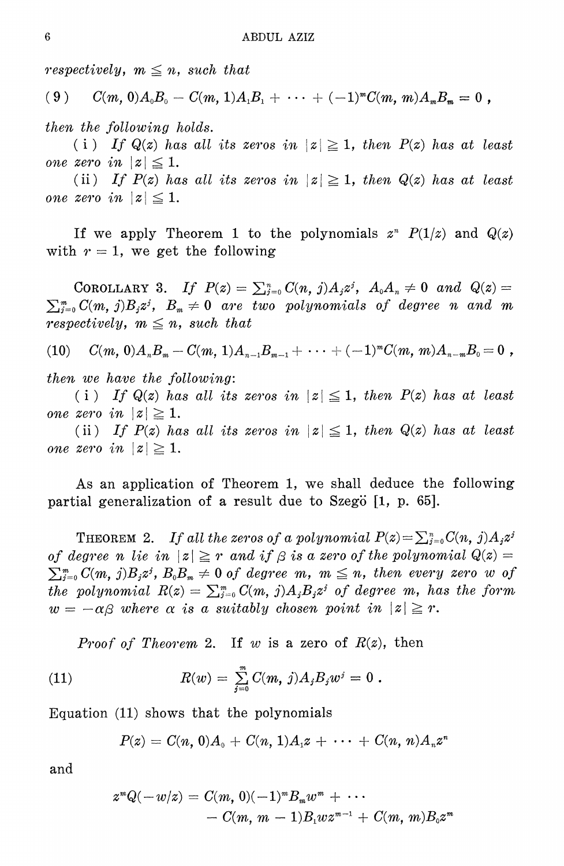respectively,  $m \leq n$ , such that

$$
(9) \qquad C(m, 0)A_0B_0-C(m, 1)A_1B_1+\cdots+(-1)^mC(m, m)A_mB_m=0,
$$

then the following holds.

(i) If  $Q(z)$  has all its zeros in  $|z| \ge 1$ , then  $P(z)$  has at least one zero in  $|z| \leq 1$ .

(ii) If  $P(z)$  has all its zeros in  $|z| \geq 1$ , then  $Q(z)$  has at least one zero in  $|z| \leq 1$ .

If we apply Theorem 1 to the polynomials  $z^n$   $P(1/z)$  and  $Q(z)$ with  $r=1$ , we get the following

COROLLARY 3. If  $P(z) = \sum_{j=0}^n C(n, j) A_j z^j$ ,  $A_0 A_n \neq 0$  and  $Q(z) =$  $\sum_{j=0}^{m} C(m, j) B_j z^j$ ,  $B_m \neq 0$  are two polynomials of degree n and m *respectively,*  $m \leq n$ *, such that* 

 $C(m, 0)A_nB_m-C(m, 1)A_{n-1}B_{m-1}+\cdots+(-1)^mC(m, m)A_{n-m}B_0=0$ ,  $(10)$ 

then we have the following:

(i) If  $Q(z)$  has all its zeros in  $|z| \leq 1$ , then  $P(z)$  has at least one zero in  $|z| \geq 1$ .

(ii) If  $P(z)$  has all its zeros in  $|z| \leq 1$ , then  $Q(z)$  has at least one zero in  $|z| \geq 1$ .

As an application of Theorem 1, we shall deduce the following partial generalization of a result due to Szegö  $[1, p. 65]$ .

**THEOREM** 2. If all the zeros of a polynomial  $P(z) = \sum_{j=0}^{n} C(n, j) A_j z^j$ of degree n lie in  $|z| \geq r$  and if  $\beta$  is a zero of the polynomial  $Q(z) =$  $\sum_{i=0}^{m} C(m, j) B_i z^i$ ,  $B_0 B_m \neq 0$  of degree m,  $m \leq n$ , then every zero w of the polynomial  $R(z) = \sum_{j=0}^m C(m, j) A_j B_j z^j$  of degree m, has the form  $w = -\alpha\beta$  where  $\alpha$  is a suitably chosen point in  $|z| \geq r$ .

*Proof of Theorem 2.* If w is a zero of  $R(z)$ , then

(11) 
$$
R(w) = \sum_{j=0}^{m} C(m, j) A_j B_j w^j = 0.
$$

Equation (11) shows that the polynomials

$$
P(z) = C(n, 0)A_0 + C(n, 1)A_1z + \cdots + C(n, n)A_nz^n
$$

and

$$
z^{m}Q(-w/z) = C(m, 0)(-1)^{m}B_{m}w^{m} + \cdots
$$
  
- C(m, m - 1)B\_{1}wz^{m-1} + C(m, m)B\_{0}z^{m}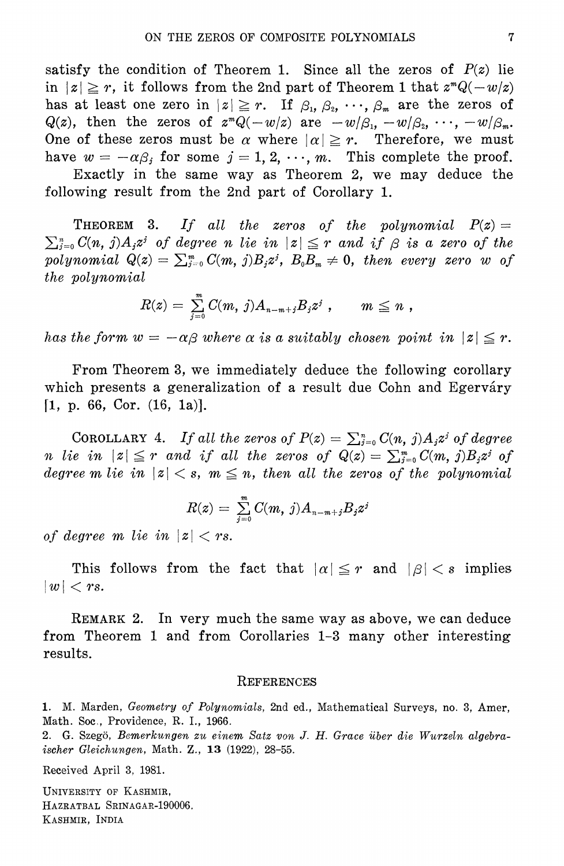satisfy the condition of Theorem 1. Since all the zeros of  $P(z)$  lie in  $|z| \ge r$ , it follows from the 2nd part of Theorem 1 that  $z^m Q(-w/z)$ has at least one zero in  $|z| \geq r$ . If  $\beta_1, \beta_2, \dots, \beta_m$  are the zeros of  $Q(z)$ , then the zeros of  $z^mQ(-w/z)$  are  $-w/\beta_1, -w/\beta_2, \cdots, -w/\beta_m$ . One of these zeros must be  $\alpha$  where  $|\alpha| \geq r$ . Therefore, we must have  $w = -\alpha \beta_i$  for some  $j = 1, 2, \dots, m$ . This complete the proof. Exactly in the same way as Theorem 2, we may deduce the

following result from the 2nd part of Corollary 1.

**THEOREM** 3. If all the zeros of the polynomial  $P(z) =$  $\sum_{i=0}^n C(n, j)A_i z^i$  of degree n lie in  $|z| \leq r$  and if  $\beta$  is a zero of the polynomial  $Q(z) = \sum_{j=0}^m C(m, j) B_j z^j$ ,  $B_0 B_m \neq 0$ , then every zero w of the polynomial

$$
R(z) \, = \, \textstyle \sum\limits_{j=0}^{m} \, C(m, \, j) A_{n-m+j} B_j z^j \,\, , \qquad m \, \leq \, n \,\, ,
$$

has the form  $w = -\alpha\beta$  where  $\alpha$  is a suitably chosen point in  $|z| \leq r$ .

From Theorem 3, we immediately deduce the following corollary which presents a generalization of a result due Cohn and Egerváry  $[1, p. 66, Cor. (16, 1a)].$ 

COROLLARY 4. If all the zeros of  $P(z) = \sum_{i=0}^{n} C(n, j) A_i z^i$  of degree *n* lie in  $|z| \leq r$  and if all the zeros of  $Q(z) = \sum_{j=0}^{m} C(m, j) B_j z^j$  of degree m lie in  $|z| < s$ ,  $m \leq n$ , then all the zeros of the polynomial

$$
R(z)=\,\sum\limits_{j=0}^m\,C(m,\,j)A_{n-m+j}B_jz^j
$$

of degree m lie in  $|z| < rs$ .

This follows from the fact that  $|\alpha| \leq r$  and  $|\beta| < s$  implies  $|w| < rs.$ 

REMARK 2. In very much the same way as above, we can deduce from Theorem 1 and from Corollaries 1-3 many other interesting results.

#### REFERENCES

1. M. Marden, Geometry of Polynomials, 2nd ed., Mathematical Surveys, no. 3, Amer, Math. Soc., Providence, R. I., 1966.

2. G. Szegö, Bemerkungen zu einem Satz von J. H. Grace über die Wurzeln algebraischer Gleichungen, Math. Z., 13 (1922), 28-55.

Received April 3, 1981.

UNIVERSITY OF KASHMIR, HAZRATBAL SRINAGAR-190006. KASHMIR, INDIA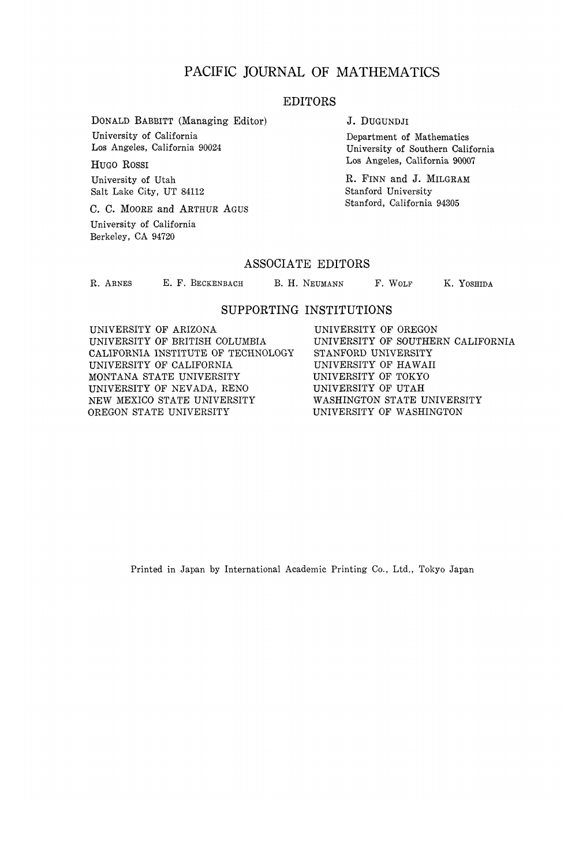## PACIFIC JOURNAL OF MATHEMATICS

## EDITORS

DONALD BABBITT (Managing Editor) University of California Los Angeles, California 90024

HUGO ROSSI University of Utah Salt Lake City, UT 84112

C. C. MOORE and ARTHUR AGUS

University of California Berkeley, CA 94720

J. DUGUNDJI

Department of Mathematics University of Southern California Los Angeles, California 90007

R. FINN and J. MILGRAM Stanford University Stanford, California 94305

## ASSOCIATE EDITORS

R. ARNES **E. F. BECKENBACH B. H. NEUMANN F. WOLF K. YOSHIDA** 

## SUPPORTING INSTITUTIONS

UNIVERSITY OF ARIZONA UNIVERSITY OF BRITISH COLUMBIA CALIFORNIA INSTITUTE OF TECHNOLOGY UNIVERSITY OF CALIFORNIA MONTANA STATE UNIVERSITY UNIVERSITY OF NEVADA, RENO NEW MEXICO STATE UNIVERSITY OREGON STATE UNIVERSITY

UNIVERSITY OF OREGON UNIVERSITY OF SOUTHERN CALIFORNIA STANFORD UNIVERSITY UNIVERSITY OF HAWAII UNIVERSITY OF TOKYO UNIVERSITY OF UTAH WASHINGTON STATE UNIVERSITY UNIVERSITY OF WASHINGTON

Printed in Japan by International Academic Printing Co., Ltd., Tokyo Japan